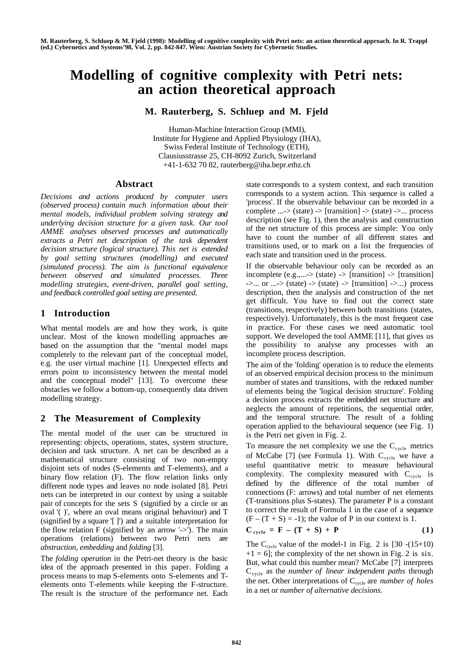# **Modelling of cognitive complexity with Petri nets: an action theoretical approach**

**M. Rauterberg, S. Schluep and M. Fjeld**

Human-Machine Interaction Group (MMI), Institute for Hygiene and Applied Physiology (IHA), Swiss Federal Institute of Technology (ETH), Clausiusstrasse 25, CH-8092 Zurich, Switzerland +41-1-632 70 82, rauterberg@iha.bepr.ethz.ch

#### **Abstract**

*Decisions and actions produced by computer users (observed process) contain much information about their mental models, individual problem solving strategy and underlying decision structure for a given task. Our tool AMME analyses observed processes and automatically extracts a Petri net description of the task dependent decision structure (logical structure). This net is extended by goal setting structures (modelling) and executed (simulated process). The aim is functional equivalence between observed and simulated processes. Three modelling strategies, event-driven, parallel goal setting, and feedback controlled goal setting are presented.*

# **1 Introduction**

What mental models are and how they work, is quite unclear. Most of the known modelling approaches are based on the assumption that the "mental model maps completely to the relevant part of the conceptual model, e.g. the user virtual machine [1]. Unexpected effects and errors point to inconsistency between the mental model and the conceptual model" [13]. To overcome these obstacles we follow a bottom-up, consequently data driven modelling strategy.

## **2 The Measurement of Complexity**

The mental model of the user can be structured in representing: objects, operations, states, system structure, decision and task structure. A net can be described as a mathematical structure consisting of two non-empty disjoint sets of nodes (S-elements and T-elements), and a binary flow relation (F). The flow relation links only different node types and leaves no node isolated [8]. Petri nets can be interpreted in our context by using a suitable pair of concepts for the sets S (signified by a circle or an oval '( )', where an oval means original behaviour) and T (signified by a square '[ ]') and a suitable interpretation for the flow relation  $F$  (signified by an arrow '->'). The main operations (relations) between two Petri nets are *abstraction*, *embedding* and *folding* [3].

The *folding operation* in the Petri-net theory is the basic idea of the approach presented in this paper. Folding a process means to map S-elements onto S-elements and Telements onto T-elements while keeping the F-structure. The result is the structure of the performance net. Each

state corresponds to a system context, and each transition corresponds to a system action. This sequence is called a 'process'. If the observable behaviour can be recorded in a complete ...-> (state) -> [transition] -> (state) ->... process description (see Fig. 1), then the analysis and construction of the net structure of this process are simple: You only have to count the number of all different states and transitions used, or to mark on a list the frequencies of each state and transition used in the process.

If the observable behaviour only can be recorded as an incomplete (e.g.,...-> (state)  $\rightarrow$  [transition]  $\rightarrow$  [transition]  $\Rightarrow$ ... or ... $\Rightarrow$  (state)  $\Rightarrow$  (state)  $\Rightarrow$  [transition]  $\Rightarrow$ ...) process description, then the analysis and construction of the net get difficult. You have to find out the correct state (transitions, respectively) between both transitions (states, respectively). Unfortunately, this is the most frequent case in practice. For these cases we need automatic tool support. We developed the tool AMME [11], that gives us the possibility to analyse any processes with an incomplete process description.

The aim of the 'folding' operation is to reduce the elements of an observed empirical decision process to the minimum number of states and transitions, with the reduced number of elements being the 'logical decision structure'. Folding a decision process extracts the embedded net structure and neglects the amount of repetitions, the sequential order, and the temporal structure. The result of a folding operation applied to the behavioural sequence (see Fig. 1) is the Petri net given in Fig. 2.

To measure the net complexity we use the  $C_{cycle}$  metrics of McCabe [7] (see Formula 1). With  $C_{cycle}$  we have a useful quantitative metric to measure behavioural complexity. The complexity measured with  $C_{cycle}$  is defined by the difference of the total number of connections (F: arrows) and total number of net elements (T-transitions plus S-states). The parameter P is a constant to correct the result of Formula 1 in the case of a sequence  $(F - (T + S) = -1)$ ; the value of P in our context is 1.

$$
C_{cycle} = F - (T + S) + P \tag{1}
$$

The  $C_{\text{cycle}}$  value of the model-1 in Fig. 2 is [30 -(15+10)  $+1 = 6$ ; the complexity of the net shown in Fig. 2 is six. But, what could this number mean? McCabe [7] interprets Ccycle as the *number of linear independent paths* through the net. Other interpretations of  $C_{cycle}$  are *number of holes* in a net or *number of alternative decisions*.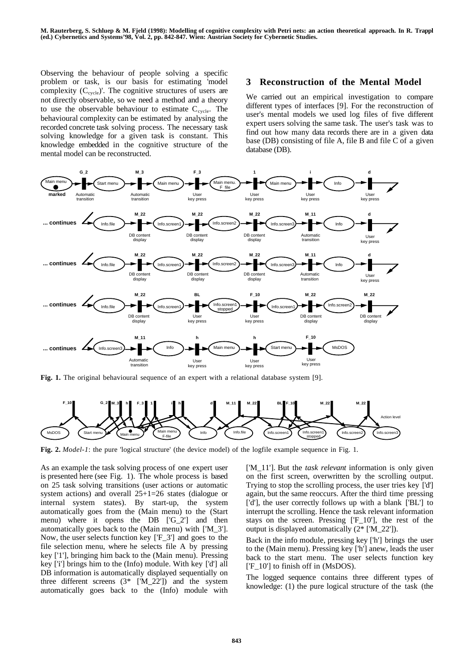Observing the behaviour of people solving a specific problem or task, is our basis for estimating 'model complexity  $(C_{cycle})'$ . The cognitive structures of users are not directly observable, so we need a method and a theory to use the observable behaviour to estimate  $C_{cycle}$ . The behavioural complexity can be estimated by analysing the recorded concrete task solving process. The necessary task solving knowledge for a given task is constant. This knowledge embedded in the cognitive structure of the mental model can be reconstructed.

## **3 Reconstruction of the Mental Model**

We carried out an empirical investigation to compare different types of interfaces [9]. For the reconstruction of user's mental models we used log files of five different expert users solving the same task. The user's task was to find out how many data records there are in a given data base (DB) consisting of file A, file B and file C of a given database (DB).



**Fig. 1.** The original behavioural sequence of an expert with a relational database system [9].



**Fig. 2.** *Model-1*: the pure 'logical structure' (the device model) of the logfile example sequence in Fig. 1.

As an example the task solving process of one expert user is presented here (see Fig. 1). The whole process is based on 25 task solving transitions (user actions or automatic system actions) and overall 25+1=26 states (dialogue or internal system states). By start-up, the system automatically goes from the (Main menu) to the (Start menu) where it opens the DB ['G\_2'] and then automatically goes back to the (Main menu) with ['M\_3']. Now, the user selects function key ['F\_3'] and goes to the file selection menu, where he selects file A by pressing key ['1'], bringing him back to the (Main menu). Pressing key ['i'] brings him to the (Info) module. With key ['d'] all DB information is automatically displayed sequentially on three different screens  $(3^*$  ['M\_22']) and the system automatically goes back to the (Info) module with

['M\_11']. But the *task relevant* information is only given on the first screen, overwritten by the scrolling output. Trying to stop the scrolling process, the user tries key ['d'] again, but the same reoccurs. After the third time pressing ['d'], the user correctly follows up with a blank ['BL'] to interrupt the scrolling. Hence the task relevant information stays on the screen. Pressing ['F\_10'], the rest of the output is displayed automatically (2\* ['M\_22']).

Back in the info module, pressing key ['h'] brings the user to the (Main menu). Pressing key ['h'] anew, leads the user back to the start menu. The user selects function key ['F\_10'] to finish off in (MsDOS).

The logged sequence contains three different types of knowledge: (1) the pure logical structure of the task (the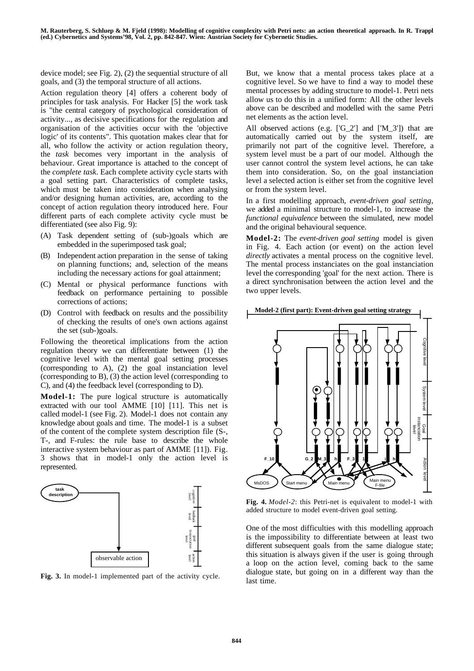device model; see Fig. 2), (2) the sequential structure of all goals, and (3) the temporal structure of all actions.

Action regulation theory [4] offers a coherent body of principles for task analysis. For Hacker [5] the work task is "the central category of psychological consideration of activity..., as decisive specifications for the regulation and organisation of the activities occur with the 'objective logic' of its contents". This quotation makes clear that for all, who follow the activity or action regulation theory, the *task* becomes very important in the analysis of behaviour. Great importance is attached to the concept of the *complete task*. Each complete activity cycle starts with a goal setting part. Characteristics of complete tasks, which must be taken into consideration when analysing and/or designing human activities, are, according to the concept of action regulation theory introduced here. Four different parts of each complete activity cycle must be differentiated (see also Fig. 9):

- (A) Task dependent setting of (sub-)goals which are embedded in the superimposed task goal;
- (B) Independent action preparation in the sense of taking on planning functions; and, selection of the means including the necessary actions for goal attainment;
- (C) Mental or physical performance functions with feedback on performance pertaining to possible corrections of actions;
- (D) Control with feedback on results and the possibility of checking the results of one's own actions against the set (sub-)goals.

Following the theoretical implications from the action regulation theory we can differentiate between (1) the cognitive level with the mental goal setting processes (corresponding to A), (2) the goal instanciation level (corresponding to B), (3) the action level (corresponding to C), and (4) the feedback level (corresponding to D).

**Model-1:** The pure logical structure is automatically extracted with our tool AMME [10] [11]. This net is called model-1 (see Fig. 2). Model-1 does not contain any knowledge about goals and time. The model-1 is a subset of the content of the complete system description file (S-, T-, and F-rules: the rule base to describe the whole interactive system behaviour as part of AMME [11]). Fig. 3 shows that in model-1 only the action level is represented.



**Fig. 3.** In model-1 implemented part of the activity cycle.

But, we know that a mental process takes place at a cognitive level. So we have to find a way to model these mental processes by adding structure to model-1. Petri nets allow us to do this in a unified form: All the other levels above can be described and modelled with the same Petri net elements as the action level.

All observed actions (e.g. ['G\_2'] and ['M\_3']) that are automatically carried out by the system itself, are primarily not part of the cognitive level. Therefore, a system level must be a part of our model. Although the user cannot control the system level actions, he can take them into consideration. So, on the goal instanciation level a selected action is either set from the cognitive level or from the system level.

In a first modelling approach, *event-driven goal setting*, we added a minimal structure to model-1, to increase the *functional equivalence* between the simulated, new model and the original behavioural sequence.

**Model-2:** The *event-driven goal setting* model is given in Fig. 4. Each action (or event) on the action level *directly* activates a mental process on the cognitive level. The mental process instanciates on the goal instanciation level the corresponding 'goal' for the next action. There is a direct synchronisation between the action level and the two upper levels.





**Fig. 4.** *Model-2*: this Petri-net is equivalent to model-1 with added structure to model event-driven goal setting.

One of the most difficulties with this modelling approach is the impossibility to differentiate between at least two different subsequent goals from the same dialogue state; this situation is always given if the user is going through a loop on the action level, coming back to the same dialogue state, but going on in a different way than the last time.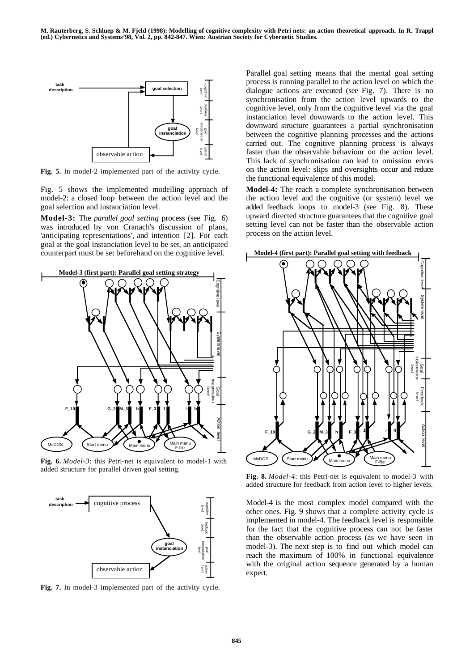

**Fig. 5.** In model-2 implemented part of the activity cycle.

Fig. 5 shows the implemented modelling approach of model-2: a closed loop between the action level and the goal selection and instanciation level.

**Model-3:** The *parallel goal setting* process (see Fig. 6) was introduced by von Cranach's discussion of plans, 'anticipating representations', and intention [2]. For each goal at the goal instanciation level to be set, an anticipated counterpart must be set beforehand on the cognitive level.



**Fig. 6.** *Model-3*: this Petri-net is equivalent to model-1 with added structure for parallel driven goal setting.



**Fig. 7.** In model-3 implemented part of the activity cycle.

Parallel goal setting means that the mental goal setting process is running parallel to the action level on which the dialogue actions are executed (see Fig. 7). There is no synchronisation from the action level upwards to the cognitive level, only from the cognitive level via the goal instanciation level downwards to the action level. This downward structure guarantees a partial synchronisation between the cognitive planning processes and the actions carried out. The cognitive planning process is always faster than the observable behaviour on the action level. This lack of synchronisation can lead to omission errors on the action level: slips and oversights occur and reduce the functional equivalence of this model.

**Model-4:** The reach a complete synchronisation between the action level and the cognitive (or system) level we added feedback loops to model-3 (see Fig. 8). These upward directed structure guarantees that the cognitive goal setting level can not be faster than the observable action process on the action level.



**Fig. 8.** *Model-4*: this Petri-net is equivalent to model-3 with added structure for feedback from action level to higher levels.

Model-4 is the most complex model compared with the other ones. Fig. 9 shows that a complete activity cycle is implemented in model-4. The feedback level is responsible for the fact that the cognitive process can not be faster than the observable action process (as we have seen in model-3). The next step is to find out which model can reach the maximum of 100% in functional equivalence with the original action sequence generated by a human expert.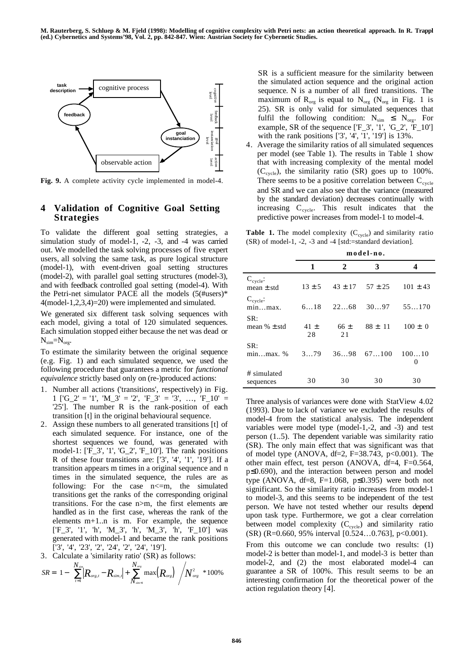

**Fig. 9.** A complete activity cycle implemented in model-4.

### **4 Validation of Cognitive Goal Setting Strategies**

To validate the different goal setting strategies, a simulation study of model-1, -2, -3, and -4 was carried out. We modelled the task solving processes of five expert users, all solving the same task, as pure logical structure (model-1), with event-driven goal setting structures (model-2), with parallel goal setting structures (model-3), and with feedback controlled goal setting (model-4). With the Petri-net simulator PACE all the models (5(#users)\* 4(model-1,2,3,4)=20) were implemented and simulated.

We generated six different task solving sequences with each model, giving a total of 120 simulated sequences. Each simulation stopped either because the net was dead or  $N_{sim} = N_{org}$ .

To estimate the similarity between the original sequence (e.g. Fig. 1) and each simulated sequence, we used the following procedure that guarantees a metric for *functional equivalence* strictly based only on (re-)produced actions:

- 1. Number all actions ('transitions', respectively) in Fig. 1  $[$ 'G\_2' = '1', 'M\_3' = '2', 'F\_3' = '3', ..., 'F\_10' = '25']. The number R is the rank-position of each transition [t] in the original behavioural sequence.
- 2. Assign these numbers to all generated transitions [t] of each simulated sequence. For instance, one of the shortest sequences we found, was generated with model-1:  $[\overline{F}_3', '1', 'G_2', 'F_10']$ . The rank positions R of these four transitions are: ['3', '4', '1', '19']. If a transition appears m times in a original sequence and n times in the simulated sequence, the rules are as following: For the case  $n \le m$ , the simulated transitions get the ranks of the corresponding original transitions. For the case n>m, the first elements are handled as in the first case, whereas the rank of the elements  $m+1 \dots n$  is m. For example, the sequence ['F\_3', '1', 'h', 'M\_3', 'h', 'M\_3', 'h', 'F\_10'] was generated with model-1 and became the rank positions ['3', '4', '23', '2', '24', '2', '24', '19'].
- 3. Calculate a 'similarity ratio' (SR) as follows:

$$
SR = \left[1 - \left\{\sum_{t=1}^{N_{sim}} |R_{org,t} - R_{sim,t}| + \sum_{N_{sim}}^{N_{org}} \max(R_{org})\right\}/N_{org}^2\right] * 100\%
$$

SR is a sufficient measure for the similarity between the simulated action sequence and the original action sequence. N is a number of all fired transitions. The maximum of  $R_{org}$  is equal to  $N_{org}$  ( $N_{org}$  in Fig. 1 is 25). SR is only valid for simulated sequences that fulfil the following condition:  $N_{sim} \le N_{org}$ . For example, SR of the sequence  $[F_3', '1', 'G_2', 'F_10']$ with the rank positions ['3', '4', '1', '19'] is 13%.

4. Average the similarity ratios of all simulated sequences per model (see Table 1). The results in Table 1 show that with increasing complexity of the mental model  $(C_{cycle})$ , the similarity ratio (SR) goes up to 100%. There seems to be a positive correlation between  $C_{cycle}$ and SR and we can also see that the variance (measured by the standard deviation) decreases continually with increasing  $C_{cycle}$ . This result indicates that the predictive power increases from model-1 to model-4.

**Table 1.** The model complexity  $(C_{cycle})$  and similarity ratio (SR) of model-1, -2, -3 and -4 [std:=standard deviation].

|                                 | model-no.      |                |             |              |
|---------------------------------|----------------|----------------|-------------|--------------|
|                                 | 1              | 2              | 3           | 4            |
| $C_{cycle}$ :<br>mean $\pm$ std | $13 \pm 5$     | $43 \pm 17$    | $57 \pm 25$ | $101 \pm 43$ |
| $C_{cycle}$ :<br>minmax.        | 618            | 2268           | 3097        | 55170        |
| SR:<br>mean $% \pm std$         | $41 \pm$<br>28 | $66 \pm$<br>21 | $88 \pm 11$ | $100 \pm 0$  |
| SR:<br>$minmax.$ %              | 379            | 3698           | 67100       | 10010<br>0   |
| # simulated<br>sequences        | 30             | 30             | 30          | 30           |

Three analysis of variances were done with StatView 4.02 (1993). Due to lack of variance we excluded the results of model-4 from the statistical analysis. The independent variables were model type (model-1,-2, and -3) and test person (1..5). The dependent variable was similarity ratio (SR). The only main effect that was significant was that of model type (ANOVA, df=2,  $F=38.743$ ,  $p<0.001$ ). The other main effect, test person (ANOVA, df=4, F=0.564, p≤0.690), and the interaction between person and model type (ANOVA, df=8, F=1.068,  $p \le 0.395$ ) were both not significant. So the similarity ratio increases from model-1 to model-3, and this seems to be independent of the test person. We have not tested whether our results depend upon task type. Furthermore, we got a clear correlation between model complexity  $(C_{cycle})$  and similarity ratio (SR) (R=0.660, 95% interval [0.524…0.763], p<0.001).

From this outcome we can conclude two results: (1) model-2 is better than model-1, and model-3 is better than model-2, and (2) the most elaborated model-4 can guarantee a SR of 100%. This result seems to be an interesting confirmation for the theoretical power of the action regulation theory [4].